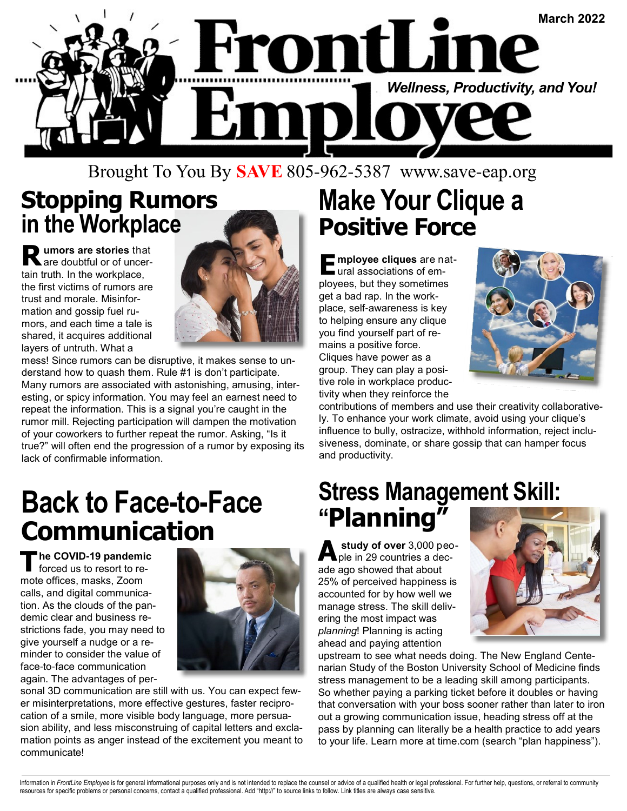

#### Brought To You By **SAVE** 805-962-5387 www.save-eap.org

### **Stopping Rumors in the Workplace**

**R umors are stories** that are doubtful or of uncertain truth. In the workplace, the first victims of rumors are trust and morale. Misinformation and gossip fuel rumors, and each time a tale is shared, it acquires additional layers of untruth. What a



mess! Since rumors can be disruptive, it makes sense to understand how to quash them. Rule #1 is don't participate. Many rumors are associated with astonishing, amusing, interesting, or spicy information. You may feel an earnest need to repeat the information. This is a signal you're caught in the rumor mill. Rejecting participation will dampen the motivation of your coworkers to further repeat the rumor. Asking, "Is it true?" will often end the progression of a rumor by exposing its lack of confirmable information.

# **Back to Face-to-Face Communication**

**T he COVID-19 pandemic** forced us to resort to remote offices, masks, Zoom calls, and digital communication. As the clouds of the pandemic clear and business restrictions fade, you may need to give yourself a nudge or a reminder to consider the value of face-to-face communication again. The advantages of per-



sonal 3D communication are still with us. You can expect fewer misinterpretations, more effective gestures, faster reciprocation of a smile, more visible body language, more persuasion ability, and less misconstruing of capital letters and exclamation points as anger instead of the excitement you meant to communicate!

## **Make Your Clique a Positive Force**

**E mployee cliques** are natural associations of employees, but they sometimes get a bad rap. In the workplace, self-awareness is key to helping ensure any clique you find yourself part of remains a positive force. Cliques have power as a group. They can play a positive role in workplace productivity when they reinforce the



contributions of members and use their creativity collaboratively. To enhance your work climate, avoid using your clique's influence to bully, ostracize, withhold information, reject inclusiveness, dominate, or share gossip that can hamper focus and productivity.

### **Stress Management Skill: "Planning"**

**A study of over** 3,000 peo-ple in 29 countries a decade ago showed that about 25% of perceived happiness is accounted for by how well we manage stress. The skill delivering the most impact was *planning*! Planning is acting ahead and paying attention



upstream to see what needs doing. The New England Centenarian Study of the Boston University School of Medicine finds stress management to be a leading skill among participants. So whether paying a parking ticket before it doubles or having that conversation with your boss sooner rather than later to iron out a growing communication issue, heading stress off at the pass by planning can literally be a health practice to add years to your life. Learn more at time.com (search "plan happiness").

Information in FrontLine Employee is for general informational purposes only and is not intended to replace the counsel or advice of a qualified health or legal professional. For further help, questions, or referral to com resources for specific problems or personal concerns, contact a qualified professional. Add "http://" to source links to follow. Link titles are always case sensitive.